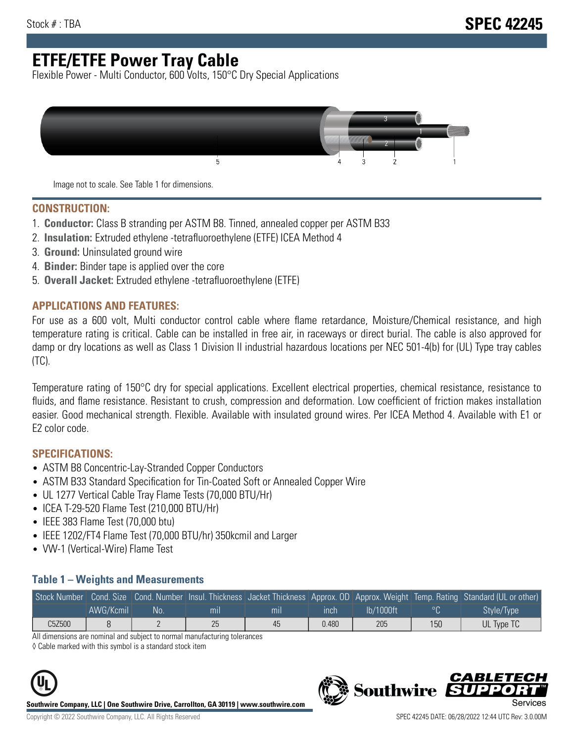# **ETFE/ETFE Power Tray Cable**

Flexible Power - Multi Conductor, 600 Volts, 150°C Dry Special Applications



Image not to scale. See Table 1 for dimensions.

#### **CONSTRUCTION:**

- 1. **Conductor:** Class B stranding per ASTM B8. Tinned, annealed copper per ASTM B33
- 2. **Insulation:** Extruded ethylene -tetrafluoroethylene (ETFE) ICEA Method 4
- 3. **Ground:** Uninsulated ground wire
- 4. **Binder:** Binder tape is applied over the core
- 5. **Overall Jacket:** Extruded ethylene -tetrafluoroethylene (ETFE)

### **APPLICATIONS AND FEATURES:**

For use as a 600 volt, Multi conductor control cable where flame retardance, Moisture/Chemical resistance, and high temperature rating is critical. Cable can be installed in free air, in raceways or direct burial. The cable is also approved for damp or dry locations as well as Class 1 Division II industrial hazardous locations per NEC 501-4(b) for (UL) Type tray cables (TC).

Temperature rating of 150°C dry for special applications. Excellent electrical properties, chemical resistance, resistance to fluids, and flame resistance. Resistant to crush, compression and deformation. Low coefficient of friction makes installation easier. Good mechanical strength. Flexible. Available with insulated ground wires. Per ICEA Method 4. Available with E1 or E2 color code.

### **SPECIFICATIONS:**

- ASTM B8 Concentric-Lay-Stranded Copper Conductors
- ASTM B33 Standard Specification for Tin-Coated Soft or Annealed Copper Wire
- UL 1277 Vertical Cable Tray Flame Tests (70,000 BTU/Hr)
- ICEA T-29-520 Flame Test (210,000 BTU/Hr)
- IEEE 383 Flame Test (70,000 btu)
- IEEE 1202/FT4 Flame Test (70,000 BTU/hr) 350kcmil and Larger
- VW-1 (Vertical-Wire) Flame Test

#### **Table 1 – Weights and Measurements**

| Stock Number |           |    |     |     |       |           |     | Cond. Size Cond. Number Insul. Thickness Jacket Thickness Approx. OD Approx. Weight Temp. Rating Standard (UL or other) |
|--------------|-----------|----|-----|-----|-------|-----------|-----|-------------------------------------------------------------------------------------------------------------------------|
|              | AWG/Kcmil | No | mıl | mil | ınch  | lb/1000ft | ാറ  | Style/Type                                                                                                              |
| C5Z500       |           |    | 25  | 45  | 0.480 | 205       | 150 | UL Type TC                                                                                                              |

All dimensions are nominal and subject to normal manufacturing tolerances

◊ Cable marked with this symbol is a standard stock item



**Southwire Company, LLC | One Southwire Drive, Carrollton, GA 30119 | www.southwire.com**

CARLET